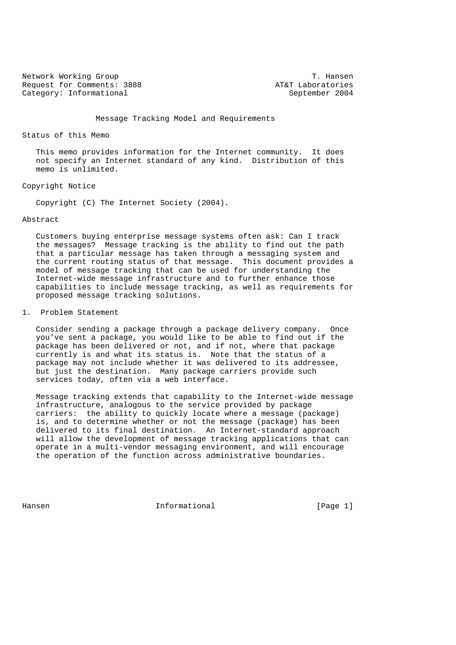Network Working Group T. Hansen Request for Comments: 3888 AT&T Laboratories Category: Informational September 2004

Message Tracking Model and Requirements

Status of this Memo

 This memo provides information for the Internet community. It does not specify an Internet standard of any kind. Distribution of this memo is unlimited.

Copyright Notice

Copyright (C) The Internet Society (2004).

Abstract

 Customers buying enterprise message systems often ask: Can I track the messages? Message tracking is the ability to find out the path that a particular message has taken through a messaging system and the current routing status of that message. This document provides a model of message tracking that can be used for understanding the Internet-wide message infrastructure and to further enhance those capabilities to include message tracking, as well as requirements for proposed message tracking solutions.

1. Problem Statement

 Consider sending a package through a package delivery company. Once you've sent a package, you would like to be able to find out if the package has been delivered or not, and if not, where that package currently is and what its status is. Note that the status of a package may not include whether it was delivered to its addressee, but just the destination. Many package carriers provide such services today, often via a web interface.

 Message tracking extends that capability to the Internet-wide message infrastructure, analogous to the service provided by package carriers: the ability to quickly locate where a message (package) is, and to determine whether or not the message (package) has been delivered to its final destination. An Internet-standard approach will allow the development of message tracking applications that can operate in a multi-vendor messaging environment, and will encourage the operation of the function across administrative boundaries.

Hansen 1986 and 1999 and 1999 and 11 millional method of the UP and I million and I million and I million and I million and I million and I million and I million and I million and I million and I million and I million and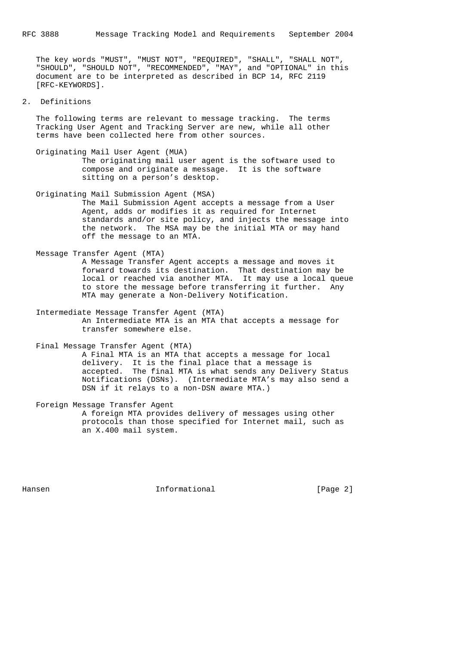The key words "MUST", "MUST NOT", "REQUIRED", "SHALL", "SHALL NOT", "SHOULD", "SHOULD NOT", "RECOMMENDED", "MAY", and "OPTIONAL" in this document are to be interpreted as described in BCP 14, RFC 2119 [RFC-KEYWORDS].

# 2. Definitions

 The following terms are relevant to message tracking. The terms Tracking User Agent and Tracking Server are new, while all other terms have been collected here from other sources.

 Originating Mail User Agent (MUA) The originating mail user agent is the software used to compose and originate a message. It is the software sitting on a person's desktop.

 Originating Mail Submission Agent (MSA) The Mail Submission Agent accepts a message from a User Agent, adds or modifies it as required for Internet standards and/or site policy, and injects the message into the network. The MSA may be the initial MTA or may hand off the message to an MTA.

 Message Transfer Agent (MTA) A Message Transfer Agent accepts a message and moves it forward towards its destination. That destination may be local or reached via another MTA. It may use a local queue to store the message before transferring it further. Any MTA may generate a Non-Delivery Notification.

 Intermediate Message Transfer Agent (MTA) An Intermediate MTA is an MTA that accepts a message for transfer somewhere else.

 Final Message Transfer Agent (MTA) A Final MTA is an MTA that accepts a message for local delivery. It is the final place that a message is accepted. The final MTA is what sends any Delivery Status Notifications (DSNs). (Intermediate MTA's may also send a DSN if it relays to a non-DSN aware MTA.)

 Foreign Message Transfer Agent A foreign MTA provides delivery of messages using other protocols than those specified for Internet mail, such as an X.400 mail system.

Hansen **Informational Informational Informational** [Page 2]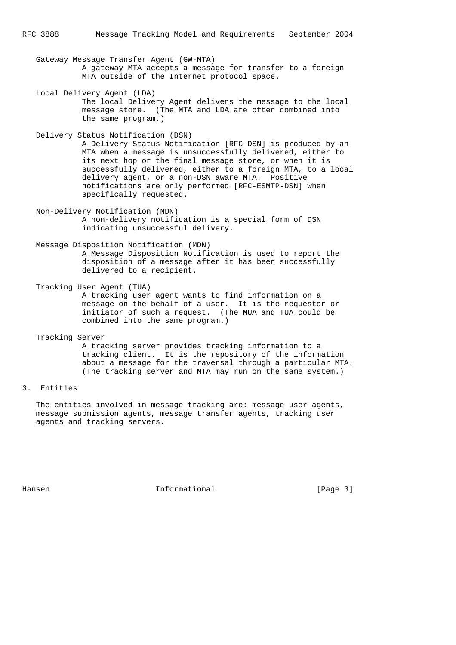Gateway Message Transfer Agent (GW-MTA) A gateway MTA accepts a message for transfer to a foreign MTA outside of the Internet protocol space.

- Local Delivery Agent (LDA) The local Delivery Agent delivers the message to the local message store. (The MTA and LDA are often combined into the same program.)
- Delivery Status Notification (DSN) A Delivery Status Notification [RFC-DSN] is produced by an MTA when a message is unsuccessfully delivered, either to its next hop or the final message store, or when it is successfully delivered, either to a foreign MTA, to a local delivery agent, or a non-DSN aware MTA. Positive notifications are only performed [RFC-ESMTP-DSN] when specifically requested.
- Non-Delivery Notification (NDN) A non-delivery notification is a special form of DSN indicating unsuccessful delivery.
- Message Disposition Notification (MDN) A Message Disposition Notification is used to report the disposition of a message after it has been successfully delivered to a recipient.
- Tracking User Agent (TUA) A tracking user agent wants to find information on a message on the behalf of a user. It is the requestor or initiator of such a request. (The MUA and TUA could be combined into the same program.)
- Tracking Server A tracking server provides tracking information to a tracking client. It is the repository of the information about a message for the traversal through a particular MTA. (The tracking server and MTA may run on the same system.)
- 3. Entities

 The entities involved in message tracking are: message user agents, message submission agents, message transfer agents, tracking user agents and tracking servers.

Hansen **Informational Informational Informational** [Page 3]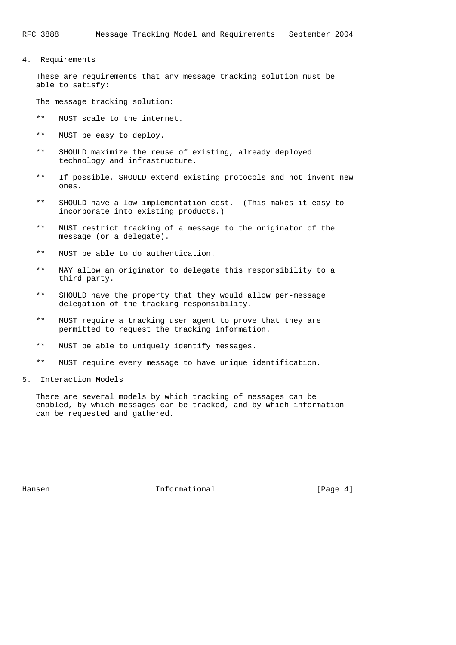4. Requirements

 These are requirements that any message tracking solution must be able to satisfy:

The message tracking solution:

- \*\* MUST scale to the internet.
- \*\* MUST be easy to deploy.
- \*\* SHOULD maximize the reuse of existing, already deployed technology and infrastructure.
- \*\* If possible, SHOULD extend existing protocols and not invent new ones.
- \*\* SHOULD have a low implementation cost. (This makes it easy to incorporate into existing products.)
- \*\* MUST restrict tracking of a message to the originator of the message (or a delegate).
- \*\* MUST be able to do authentication.
- \*\* MAY allow an originator to delegate this responsibility to a third party.
- \*\* SHOULD have the property that they would allow per-message delegation of the tracking responsibility.
- \*\* MUST require a tracking user agent to prove that they are permitted to request the tracking information.
- \*\* MUST be able to uniquely identify messages.
- \*\* MUST require every message to have unique identification.
- 5. Interaction Models

 There are several models by which tracking of messages can be enabled, by which messages can be tracked, and by which information can be requested and gathered.

Hansen **Informational Informational Informational Informational**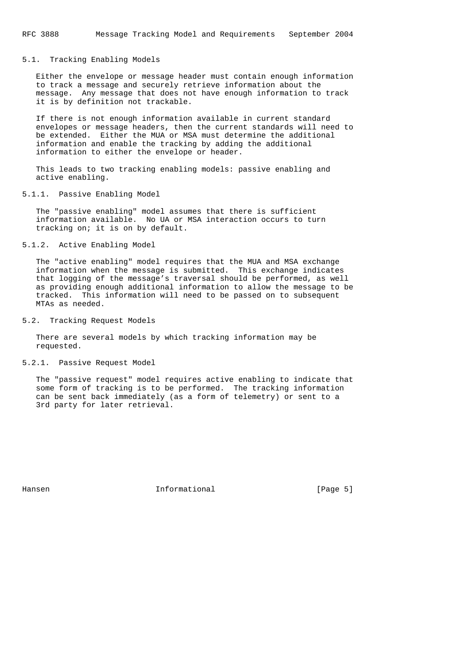#### 5.1. Tracking Enabling Models

 Either the envelope or message header must contain enough information to track a message and securely retrieve information about the message. Any message that does not have enough information to track it is by definition not trackable.

 If there is not enough information available in current standard envelopes or message headers, then the current standards will need to be extended. Either the MUA or MSA must determine the additional information and enable the tracking by adding the additional information to either the envelope or header.

 This leads to two tracking enabling models: passive enabling and active enabling.

5.1.1. Passive Enabling Model

 The "passive enabling" model assumes that there is sufficient information available. No UA or MSA interaction occurs to turn tracking on; it is on by default.

### 5.1.2. Active Enabling Model

 The "active enabling" model requires that the MUA and MSA exchange information when the message is submitted. This exchange indicates that logging of the message's traversal should be performed, as well as providing enough additional information to allow the message to be tracked. This information will need to be passed on to subsequent MTAs as needed.

5.2. Tracking Request Models

 There are several models by which tracking information may be requested.

5.2.1. Passive Request Model

 The "passive request" model requires active enabling to indicate that some form of tracking is to be performed. The tracking information can be sent back immediately (as a form of telemetry) or sent to a 3rd party for later retrieval.

Hansen 10 and 10 and 10 and 11 and 10 and 10 and 10 and 10 and 10 and 10 and 10 and 10 and 10 and 10 and 10 and 10 and 10 and 10 and 10 and 10 and 10 and 10 and 10 and 10 and 10 and 10 and 10 and 10 and 10 and 10 and 10 an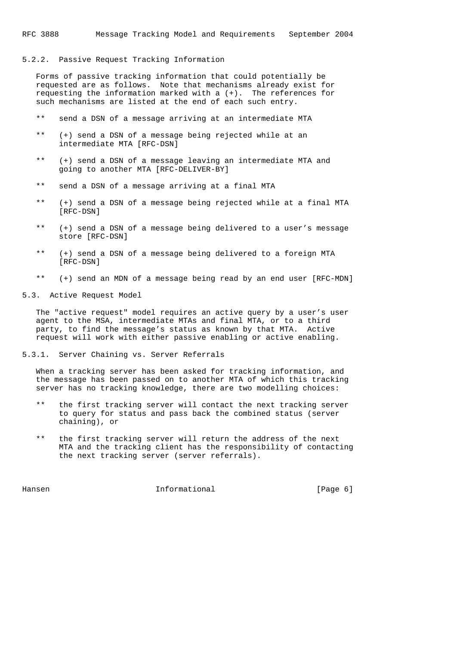#### 5.2.2. Passive Request Tracking Information

 Forms of passive tracking information that could potentially be requested are as follows. Note that mechanisms already exist for requesting the information marked with a (+). The references for such mechanisms are listed at the end of each such entry.

- \*\* send a DSN of a message arriving at an intermediate MTA
- \*\* (+) send a DSN of a message being rejected while at an intermediate MTA [RFC-DSN]
- \*\* (+) send a DSN of a message leaving an intermediate MTA and going to another MTA [RFC-DELIVER-BY]
- \*\* send a DSN of a message arriving at a final MTA
- \*\* (+) send a DSN of a message being rejected while at a final MTA [RFC-DSN]
- \*\* (+) send a DSN of a message being delivered to a user's message store [RFC-DSN]
- \*\* (+) send a DSN of a message being delivered to a foreign MTA [RFC-DSN]
- \*\* (+) send an MDN of a message being read by an end user [RFC-MDN]
- 5.3. Active Request Model

 The "active request" model requires an active query by a user's user agent to the MSA, intermediate MTAs and final MTA, or to a third party, to find the message's status as known by that MTA. Active request will work with either passive enabling or active enabling.

#### 5.3.1. Server Chaining vs. Server Referrals

 When a tracking server has been asked for tracking information, and the message has been passed on to another MTA of which this tracking server has no tracking knowledge, there are two modelling choices:

- \*\* the first tracking server will contact the next tracking server to query for status and pass back the combined status (server chaining), or
- \*\* the first tracking server will return the address of the next MTA and the tracking client has the responsibility of contacting the next tracking server (server referrals).

Hansen **Informational Informational Informational** [Page 6]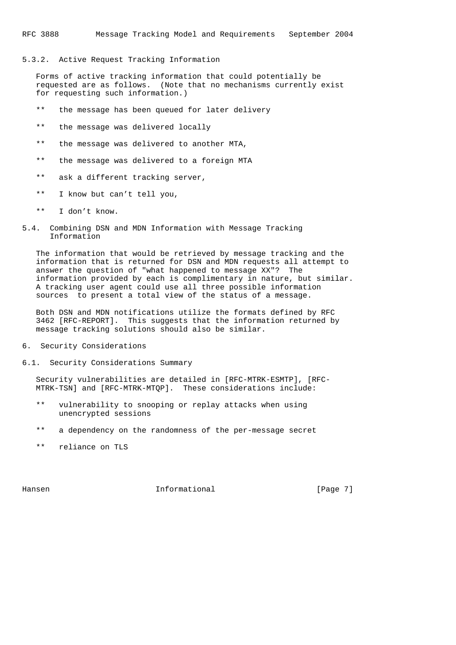#### 5.3.2. Active Request Tracking Information

 Forms of active tracking information that could potentially be requested are as follows. (Note that no mechanisms currently exist for requesting such information.)

- \*\* the message has been queued for later delivery
- \*\* the message was delivered locally
- \*\* the message was delivered to another MTA,
- \*\* the message was delivered to a foreign MTA
- \*\* ask a different tracking server,
- \*\* I know but can't tell you,
- \*\* I don't know.
- 5.4. Combining DSN and MDN Information with Message Tracking Information

 The information that would be retrieved by message tracking and the information that is returned for DSN and MDN requests all attempt to answer the question of "what happened to message XX"? The information provided by each is complimentary in nature, but similar. A tracking user agent could use all three possible information sources to present a total view of the status of a message.

 Both DSN and MDN notifications utilize the formats defined by RFC 3462 [RFC-REPORT]. This suggests that the information returned by message tracking solutions should also be similar.

- 6. Security Considerations
- 6.1. Security Considerations Summary

 Security vulnerabilities are detailed in [RFC-MTRK-ESMTP], [RFC- MTRK-TSN] and [RFC-MTRK-MTQP]. These considerations include:

- \*\* vulnerability to snooping or replay attacks when using unencrypted sessions
- \*\* a dependency on the randomness of the per-message secret
- \*\* reliance on TLS

Hansen **Informational Informational Informational** [Page 7]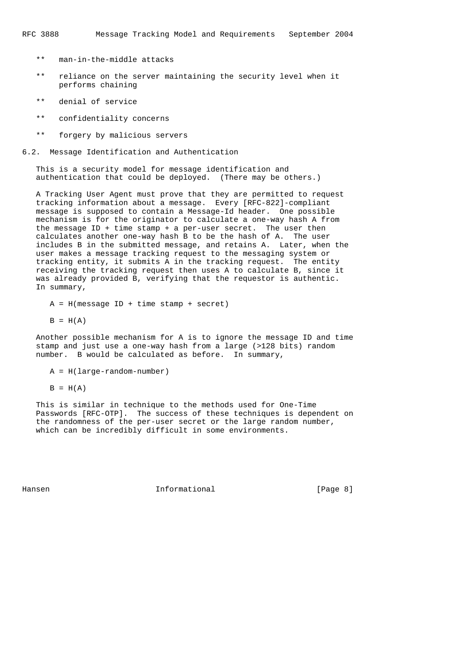- \*\* man-in-the-middle attacks
- \*\* reliance on the server maintaining the security level when it performs chaining
- \*\* denial of service
- \*\* confidentiality concerns
- \*\* forgery by malicious servers
- 6.2. Message Identification and Authentication

 This is a security model for message identification and authentication that could be deployed. (There may be others.)

 A Tracking User Agent must prove that they are permitted to request tracking information about a message. Every [RFC-822]-compliant message is supposed to contain a Message-Id header. One possible mechanism is for the originator to calculate a one-way hash A from the message ID + time stamp + a per-user secret. The user then calculates another one-way hash B to be the hash of A. The user includes B in the submitted message, and retains A. Later, when the user makes a message tracking request to the messaging system or tracking entity, it submits A in the tracking request. The entity receiving the tracking request then uses A to calculate B, since it was already provided B, verifying that the requestor is authentic. In summary,

 $A = H(m \text{essage ID} + \text{time stamp} + \text{secret})$ 

 $B = H(A)$ 

 Another possible mechanism for A is to ignore the message ID and time stamp and just use a one-way hash from a large (>128 bits) random number. B would be calculated as before. In summary,

A = H(large-random-number)

 $B = H(A)$ 

 This is similar in technique to the methods used for One-Time Passwords [RFC-OTP]. The success of these techniques is dependent on the randomness of the per-user secret or the large random number, which can be incredibly difficult in some environments.

Hansen **Informational Informational Informational Example 1**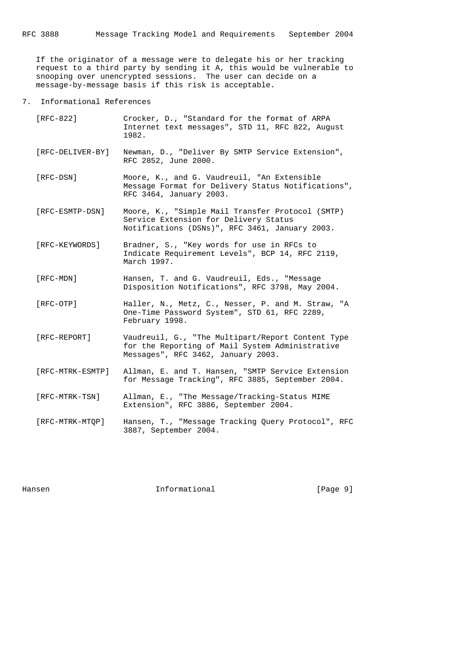If the originator of a message were to delegate his or her tracking request to a third party by sending it A, this would be vulnerable to snooping over unencrypted sessions. The user can decide on a message-by-message basis if this risk is acceptable.

7. Informational References

| [RFC-822]        | Crocker, D., "Standard for the format of ARPA<br>Internet text messages", STD 11, RFC 822, August<br>1982.                                  |
|------------------|---------------------------------------------------------------------------------------------------------------------------------------------|
| [RFC-DELIVER-BY] | Newman, D., "Deliver By SMTP Service Extension",<br>RFC 2852, June 2000.                                                                    |
| [RFC-DSN]        | Moore, K., and G. Vaudreuil, "An Extensible<br>Message Format for Delivery Status Notifications",<br>RFC 3464, January 2003.                |
| [RFC-ESMTP-DSN]  | Moore, K., "Simple Mail Transfer Protocol (SMTP)<br>Service Extension for Delivery Status<br>Notifications (DSNs)", RFC 3461, January 2003. |
| [RFC-KEYWORDS]   | Bradner, S., "Key words for use in RFCs to<br>Indicate Requirement Levels", BCP 14, RFC 2119,<br>March 1997.                                |
| [RFC-MDN]        | Hansen, T. and G. Vaudreuil, Eds., "Message<br>Disposition Notifications", RFC 3798, May 2004.                                              |
| [RFC-OTP]        | Haller, N., Metz, C., Nesser, P. and M. Straw, "A<br>One-Time Password System", STD 61, RFC 2289,<br>February 1998.                         |
| $[RFC-REPORT]$   | Vaudreuil, G., "The Multipart/Report Content Type<br>for the Reporting of Mail System Administrative<br>Messages", RFC 3462, January 2003.  |
| [RFC-MTRK-ESMTP] | Allman, E. and T. Hansen, "SMTP Service Extension<br>for Message Tracking", RFC 3885, September 2004.                                       |
| [RFC-MTRK-TSN]   | Allman, E., "The Message/Tracking-Status MIME<br>Extension", RFC 3886, September 2004.                                                      |
| [RFC-MTRK-MTOP]  | Hansen, T., "Message Tracking Query Protocol", RFC                                                                                          |

3887, September 2004.

Hansen 10 Informational 1999 [Page 9]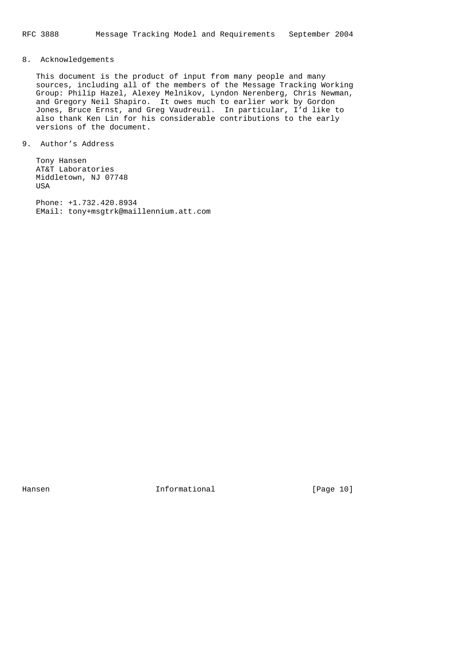# 8. Acknowledgements

 This document is the product of input from many people and many sources, including all of the members of the Message Tracking Working Group: Philip Hazel, Alexey Melnikov, Lyndon Nerenberg, Chris Newman, and Gregory Neil Shapiro. It owes much to earlier work by Gordon Jones, Bruce Ernst, and Greg Vaudreuil. In particular, I'd like to also thank Ken Lin for his considerable contributions to the early versions of the document.

9. Author's Address

 Tony Hansen AT&T Laboratories Middletown, NJ 07748 USA

 Phone: +1.732.420.8934 EMail: tony+msgtrk@maillennium.att.com

Hansen 10 Informational 1999 [Page 10]